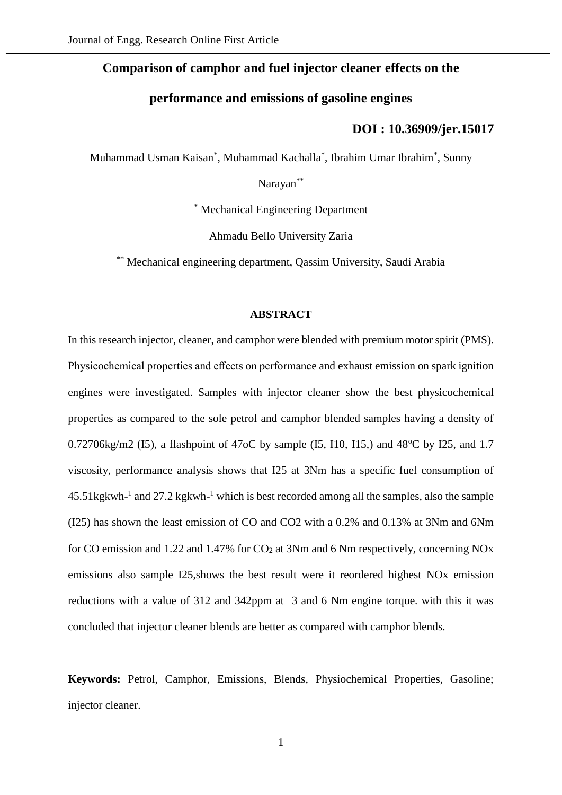### **Comparison of camphor and fuel injector cleaner effects on the**

## **performance and emissions of gasoline engines**

# **[DOI : 10.36909/jer.15017](https://doi.org/10.36909/jer.15017)**

Muhammad Usman Kaisan\* , Muhammad Kachalla\* , Ibrahim Umar Ibrahim\* , Sunny

Narayan\*\*

\* Mechanical Engineering Department

Ahmadu Bello University Zaria

\*\* Mechanical engineering department, Qassim University, Saudi Arabia

#### **ABSTRACT**

In this research injector, cleaner, and camphor were blended with premium motor spirit (PMS). Physicochemical properties and effects on performance and exhaust emission on spark ignition engines were investigated. Samples with injector cleaner show the best physicochemical properties as compared to the sole petrol and camphor blended samples having a density of 0.72706kg/m2 (I5), a flashpoint of 47oC by sample (I5, I10, I15,) and  $48^{\circ}$ C by I25, and 1.7 viscosity, performance analysis shows that I25 at 3Nm has a specific fuel consumption of  $45.51$  kg kwh<sup>-1</sup> and  $27.2$  kg kwh<sup>-1</sup> which is best recorded among all the samples, also the sample (I25) has shown the least emission of CO and CO2 with a 0.2% and 0.13% at 3Nm and 6Nm for CO emission and 1.22 and 1.47% for  $CO<sub>2</sub>$  at 3Nm and 6 Nm respectively, concerning NOx emissions also sample I25,shows the best result were it reordered highest NOx emission reductions with a value of 312 and 342ppm at 3 and 6 Nm engine torque. with this it was concluded that injector cleaner blends are better as compared with camphor blends.

**Keywords:** Petrol, Camphor, Emissions, Blends, Physiochemical Properties, Gasoline; injector cleaner.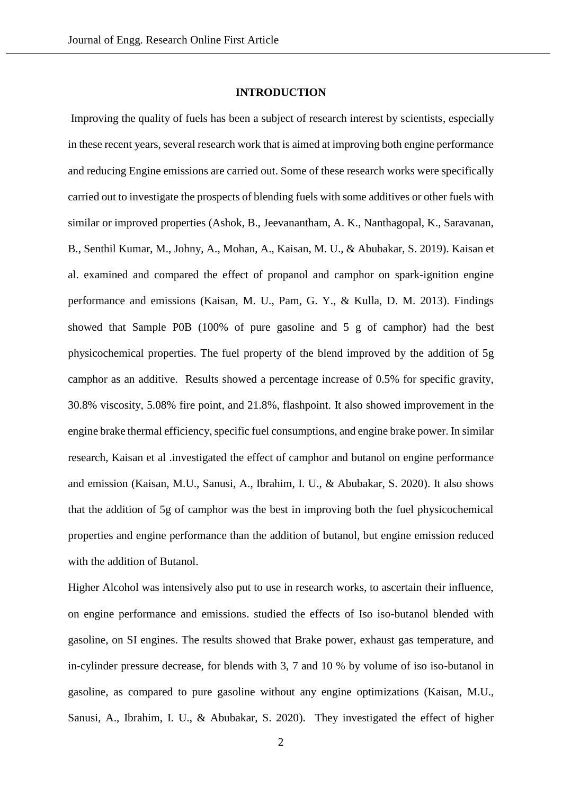#### **INTRODUCTION**

Improving the quality of fuels has been a subject of research interest by scientists, especially in these recent years, several research work that is aimed at improving both engine performance and reducing Engine emissions are carried out. Some of these research works were specifically carried out to investigate the prospects of blending fuels with some additives or other fuels with similar or improved properties (Ashok, B., Jeevanantham, A. K., Nanthagopal, K., Saravanan, B., Senthil Kumar, M., Johny, A., Mohan, A., Kaisan, M. U., & Abubakar, S. 2019). Kaisan et al. examined and compared the effect of propanol and camphor on spark-ignition engine performance and emissions (Kaisan, M. U., Pam, G. Y., & Kulla, D. M. 2013). Findings showed that Sample P0B (100% of pure gasoline and 5 g of camphor) had the best physicochemical properties. The fuel property of the blend improved by the addition of 5g camphor as an additive. Results showed a percentage increase of 0.5% for specific gravity, 30.8% viscosity, 5.08% fire point, and 21.8%, flashpoint. It also showed improvement in the engine brake thermal efficiency, specific fuel consumptions, and engine brake power. In similar research, Kaisan et al .investigated the effect of camphor and butanol on engine performance and emission (Kaisan, M.U., Sanusi, A., Ibrahim, I. U., & Abubakar, S. 2020). It also shows that the addition of 5g of camphor was the best in improving both the fuel physicochemical properties and engine performance than the addition of butanol, but engine emission reduced with the addition of Butanol.

Higher Alcohol was intensively also put to use in research works, to ascertain their influence, on engine performance and emissions. studied the effects of Iso iso-butanol blended with gasoline, on SI engines. The results showed that Brake power, exhaust gas temperature, and in-cylinder pressure decrease, for blends with 3, 7 and 10 % by volume of iso iso-butanol in gasoline, as compared to pure gasoline without any engine optimizations (Kaisan, M.U., Sanusi, A., Ibrahim, I. U., & Abubakar, S. 2020). They investigated the effect of higher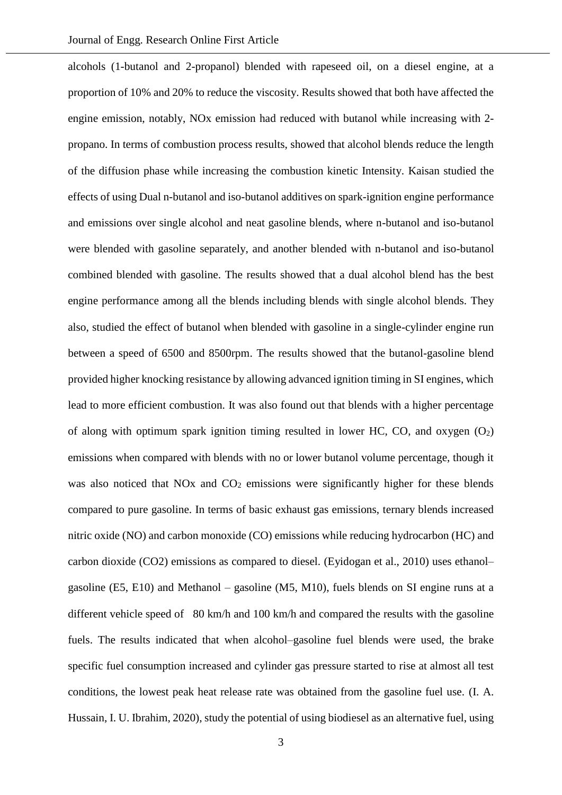alcohols (1-butanol and 2-propanol) blended with rapeseed oil, on a diesel engine, at a proportion of 10% and 20% to reduce the viscosity. Results showed that both have affected the engine emission, notably, NOx emission had reduced with butanol while increasing with 2 propano. In terms of combustion process results, showed that alcohol blends reduce the length of the diffusion phase while increasing the combustion kinetic Intensity. Kaisan studied the effects of using Dual n-butanol and iso-butanol additives on spark-ignition engine performance and emissions over single alcohol and neat gasoline blends, where n-butanol and iso-butanol were blended with gasoline separately, and another blended with n-butanol and iso-butanol combined blended with gasoline. The results showed that a dual alcohol blend has the best engine performance among all the blends including blends with single alcohol blends. They also, studied the effect of butanol when blended with gasoline in a single-cylinder engine run between a speed of 6500 and 8500rpm. The results showed that the butanol-gasoline blend provided higher knocking resistance by allowing advanced ignition timing in SI engines, which lead to more efficient combustion. It was also found out that blends with a higher percentage of along with optimum spark ignition timing resulted in lower HC, CO, and oxygen  $(O_2)$ emissions when compared with blends with no or lower butanol volume percentage, though it was also noticed that  $NOx$  and  $CO<sub>2</sub>$  emissions were significantly higher for these blends compared to pure gasoline. In terms of basic exhaust gas emissions, ternary blends increased nitric oxide (NO) and carbon monoxide (CO) emissions while reducing hydrocarbon (HC) and carbon dioxide (CO2) emissions as compared to diesel. (Eyidogan et al., 2010) uses ethanol– gasoline (E5, E10) and Methanol – gasoline (M5, M10), fuels blends on SI engine runs at a different vehicle speed of 80 km/h and 100 km/h and compared the results with the gasoline fuels. The results indicated that when alcohol–gasoline fuel blends were used, the brake specific fuel consumption increased and cylinder gas pressure started to rise at almost all test conditions, the lowest peak heat release rate was obtained from the gasoline fuel use. (I. A. Hussain, I. U. Ibrahim, 2020), study the potential of using biodiesel as an alternative fuel, using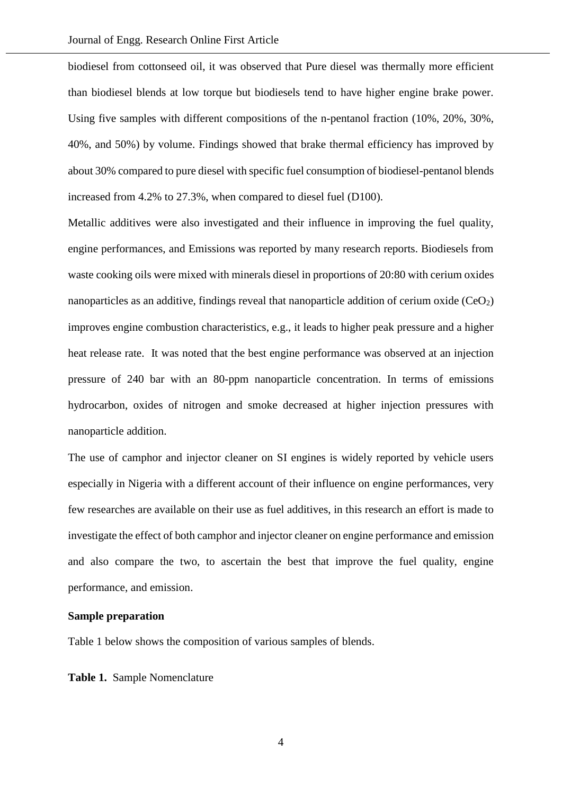biodiesel from cottonseed oil, it was observed that Pure diesel was thermally more efficient than biodiesel blends at low torque but biodiesels tend to have higher engine brake power. Using five samples with different compositions of the n-pentanol fraction (10%, 20%, 30%, 40%, and 50%) by volume. Findings showed that brake thermal efficiency has improved by about 30% compared to pure diesel with specific fuel consumption of biodiesel-pentanol blends increased from 4.2% to 27.3%, when compared to diesel fuel (D100).

Metallic additives were also investigated and their influence in improving the fuel quality, engine performances, and Emissions was reported by many research reports. Biodiesels from waste cooking oils were mixed with minerals diesel in proportions of 20:80 with cerium oxides nanoparticles as an additive, findings reveal that nanoparticle addition of cerium oxide  $(CeO<sub>2</sub>)$ improves engine combustion characteristics, e.g., it leads to higher peak pressure and a higher heat release rate. It was noted that the best engine performance was observed at an injection pressure of 240 bar with an 80-ppm nanoparticle concentration. In terms of emissions hydrocarbon, oxides of nitrogen and smoke decreased at higher injection pressures with nanoparticle addition.

The use of camphor and injector cleaner on SI engines is widely reported by vehicle users especially in Nigeria with a different account of their influence on engine performances, very few researches are available on their use as fuel additives, in this research an effort is made to investigate the effect of both camphor and injector cleaner on engine performance and emission and also compare the two, to ascertain the best that improve the fuel quality, engine performance, and emission.

### **Sample preparation**

Table 1 below shows the composition of various samples of blends.

**Table 1.** Sample Nomenclature

4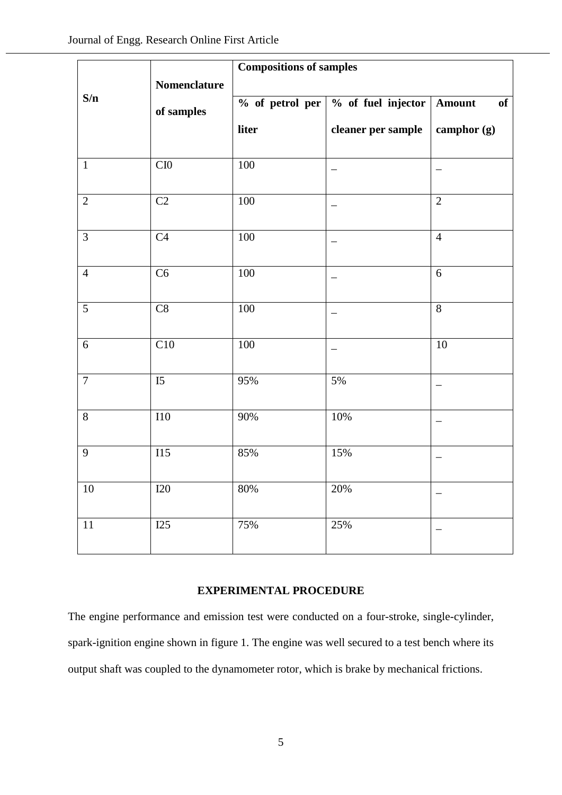|                |              | <b>Compositions of samples</b> |                    |                |
|----------------|--------------|--------------------------------|--------------------|----------------|
|                | Nomenclature |                                |                    |                |
| S/n            | of samples   | % of petrol per                | % of fuel injector | Amount<br>of   |
|                |              | liter                          | cleaner per sample | camphor (g)    |
| $\mathbf{1}$   | CIO          | 100                            |                    |                |
| $\overline{2}$ | $\rm C2$     | $100\,$                        |                    | $\overline{2}$ |
| $\overline{3}$ | C4           | $100\,$                        |                    | $\overline{4}$ |
| $\overline{4}$ | C6           | $100\,$                        |                    | $6\,$          |
| 5              | C8           | 100                            |                    | $\overline{8}$ |
| 6              | C10          | 100                            |                    | 10             |
| $\overline{7}$ | I5           | 95%                            | 5%                 |                |
| $8\,$          | $\rm I10$    | 90%                            | 10%                |                |
| 9              | I15          | 85%                            | 15%                |                |
| $10\,$         | I20          | $80\%$                         | $20\%$             |                |
| 11             | I25          | 75%                            | 25%                |                |

### **EXPERIMENTAL PROCEDURE**

The engine performance and emission test were conducted on a four-stroke, single-cylinder, spark-ignition engine shown in figure 1. The engine was well secured to a test bench where its output shaft was coupled to the dynamometer rotor, which is brake by mechanical frictions.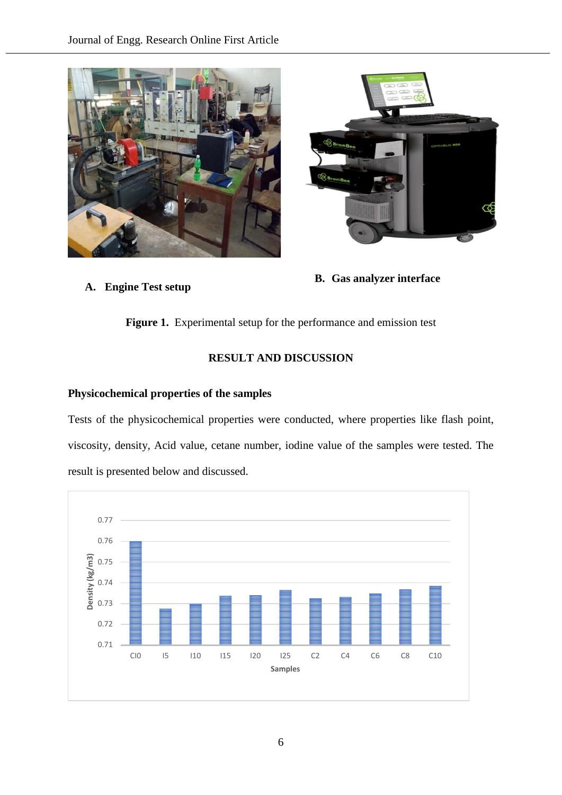



## **A. Engine Test setup**

**B. Gas analyzer interface**

**Figure 1.** Experimental setup for the performance and emission test

## **RESULT AND DISCUSSION**

### **Physicochemical properties of the samples**

Tests of the physicochemical properties were conducted, where properties like flash point, viscosity, density, Acid value, cetane number, iodine value of the samples were tested. The result is presented below and discussed.

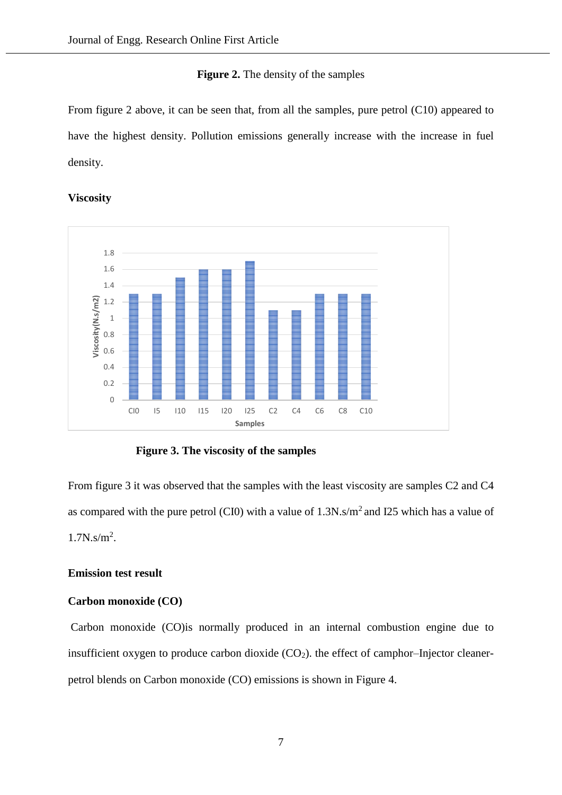#### **Figure 2.** The density of the samples

From figure 2 above, it can be seen that, from all the samples, pure petrol (C10) appeared to have the highest density. Pollution emissions generally increase with the increase in fuel density.

**Viscosity**



**Figure 3. The viscosity of the samples**

From figure 3 it was observed that the samples with the least viscosity are samples C2 and C4 as compared with the pure petrol (CI0) with a value of  $1.3N \cdot s/m^2$  and I25 which has a value of 1.7N.s/m<sup>2</sup> .

### **Emission test result**

#### **Carbon monoxide (CO)**

Carbon monoxide (CO)is normally produced in an internal combustion engine due to insufficient oxygen to produce carbon dioxide  $(CO<sub>2</sub>)$ . the effect of camphor–Injector cleanerpetrol blends on Carbon monoxide (CO) emissions is shown in Figure 4.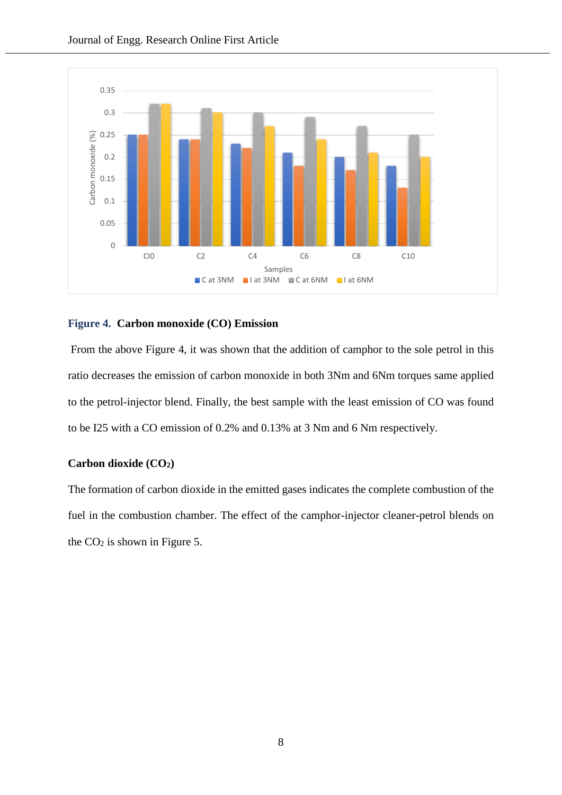

#### **Figure 4. Carbon monoxide (CO) Emission**

From the above Figure 4, it was shown that the addition of camphor to the sole petrol in this ratio decreases the emission of carbon monoxide in both 3Nm and 6Nm torques same applied to the petrol-injector blend. Finally, the best sample with the least emission of CO was found to be I25 with a CO emission of 0.2% and 0.13% at 3 Nm and 6 Nm respectively.

#### **Carbon dioxide (CO2)**

The formation of carbon dioxide in the emitted gases indicates the complete combustion of the fuel in the combustion chamber. The effect of the camphor-injector cleaner-petrol blends on the  $CO<sub>2</sub>$  is shown in Figure 5.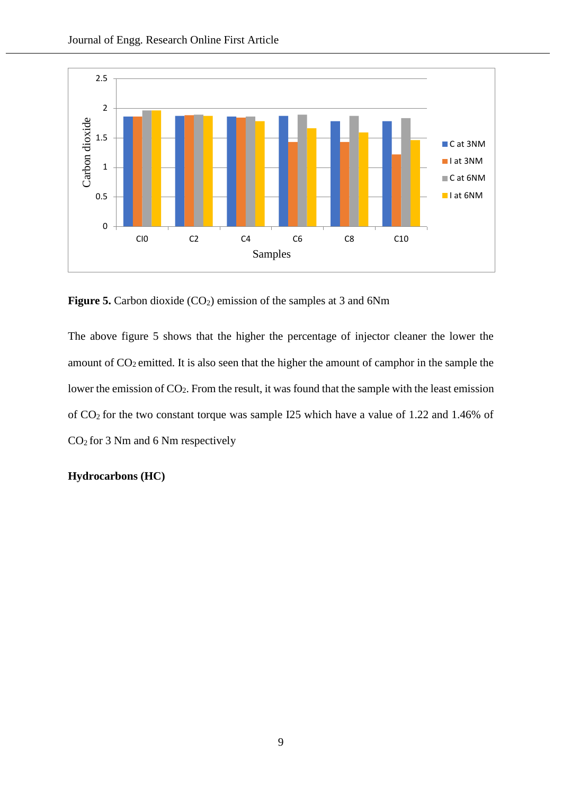

**Figure 5.** Carbon dioxide (CO<sub>2</sub>) emission of the samples at 3 and 6Nm

The above figure 5 shows that the higher the percentage of injector cleaner the lower the amount of  $CO<sub>2</sub>$  emitted. It is also seen that the higher the amount of camphor in the sample the lower the emission of CO2. From the result, it was found that the sample with the least emission of CO2 for the two constant torque was sample I25 which have a value of 1.22 and 1.46% of CO2 for 3 Nm and 6 Nm respectively

### **Hydrocarbons (HC)**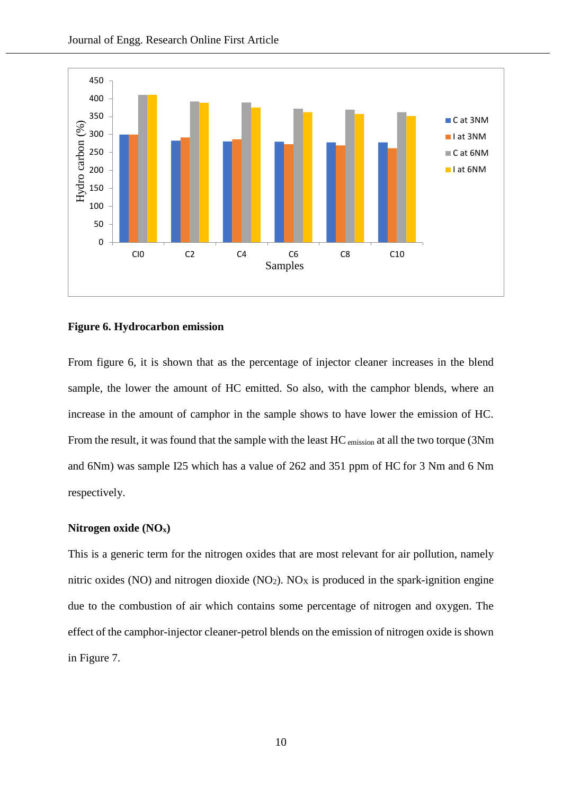

#### **Figure 6. Hydrocarbon emission**

From figure 6, it is shown that as the percentage of injector cleaner increases in the blend sample, the lower the amount of HC emitted. So also, with the camphor blends, where an increase in the amount of camphor in the sample shows to have lower the emission of HC. From the result, it was found that the sample with the least HC emission at all the two torque (3Nm and 6Nm) was sample I25 which has a value of 262 and 351 ppm of HC for 3 Nm and 6 Nm respectively.

#### **Nitrogen oxide (NOx)**

This is a generic term for the nitrogen oxides that are most relevant for air pollution, namely nitric oxides (NO) and nitrogen dioxide (NO<sub>2</sub>). NO<sub>X</sub> is produced in the spark-ignition engine due to the combustion of air which contains some percentage of nitrogen and oxygen. The effect of the camphor-injector cleaner-petrol blends on the emission of nitrogen oxide is shown in Figure 7.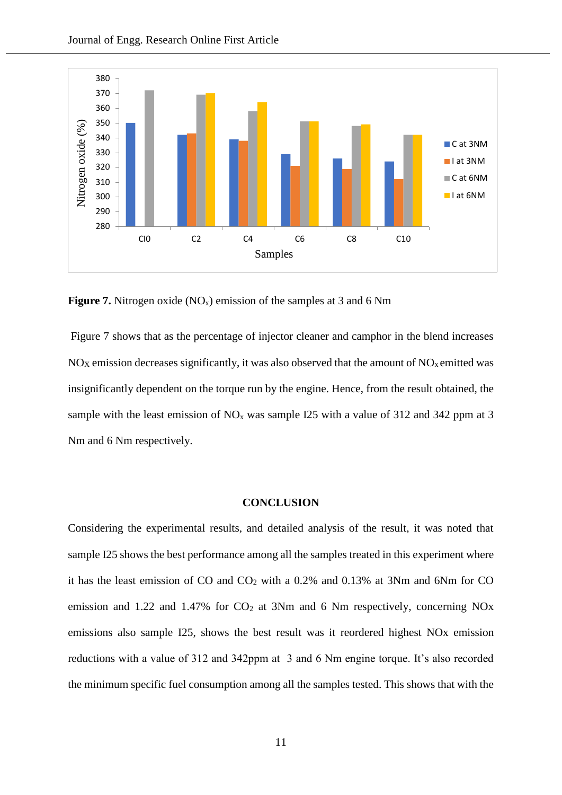

**Figure 7.** Nitrogen oxide (NO<sub>x</sub>) emission of the samples at 3 and 6 Nm

Figure 7 shows that as the percentage of injector cleaner and camphor in the blend increases  $NO<sub>X</sub>$  emission decreases significantly, it was also observed that the amount of  $NO<sub>X</sub>$  emitted was insignificantly dependent on the torque run by the engine. Hence, from the result obtained, the sample with the least emission of  $NO<sub>x</sub>$  was sample I25 with a value of 312 and 342 ppm at 3 Nm and 6 Nm respectively.

### **CONCLUSION**

Considering the experimental results, and detailed analysis of the result, it was noted that sample I25 shows the best performance among all the samples treated in this experiment where it has the least emission of CO and  $CO<sub>2</sub>$  with a 0.2% and 0.13% at 3Nm and 6Nm for CO emission and 1.22 and 1.47% for  $CO<sub>2</sub>$  at 3Nm and 6 Nm respectively, concerning NOx emissions also sample I25, shows the best result was it reordered highest NOx emission reductions with a value of 312 and 342ppm at 3 and 6 Nm engine torque. It's also recorded the minimum specific fuel consumption among all the samples tested. This shows that with the